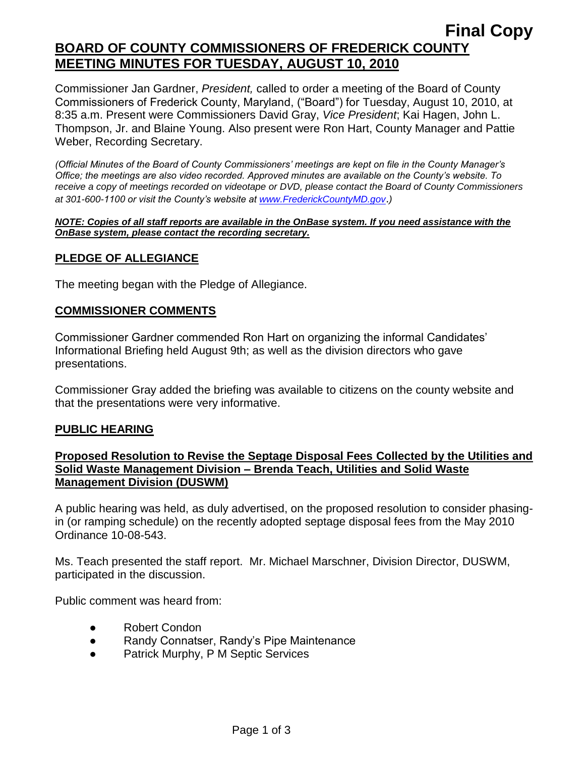# **Final Copy BOARD OF COUNTY COMMISSIONERS OF FREDERICK COUNTY MEETING MINUTES FOR TUESDAY, AUGUST 10, 2010**

Commissioner Jan Gardner, *President,* called to order a meeting of the Board of County Commissioners of Frederick County, Maryland, ("Board") for Tuesday, August 10, 2010, at 8:35 a.m. Present were Commissioners David Gray, *Vice President*; Kai Hagen, John L. Thompson, Jr. and Blaine Young. Also present were Ron Hart, County Manager and Pattie Weber, Recording Secretary.

*(Official Minutes of the Board of County Commissioners' meetings are kept on file in the County Manager's Office; the meetings are also video recorded. Approved minutes are available on the County's website. To receive a copy of meetings recorded on videotape or DVD, please contact the Board of County Commissioners at 301-600-1100 or visit the County's website at [www.FrederickCountyMD.gov](http://www.frederickcountymd.gov/)*.*)*

#### *NOTE: Copies of all staff reports are available in the OnBase system. If you need assistance with the OnBase system, please contact the recording secretary.*

# **PLEDGE OF ALLEGIANCE**

The meeting began with the Pledge of Allegiance.

# **COMMISSIONER COMMENTS**

Commissioner Gardner commended Ron Hart on organizing the informal Candidates' Informational Briefing held August 9th; as well as the division directors who gave presentations.

Commissioner Gray added the briefing was available to citizens on the county website and that the presentations were very informative.

# **PUBLIC HEARING**

#### **Proposed Resolution to Revise the Septage Disposal Fees Collected by the Utilities and Solid Waste Management Division – Brenda Teach, Utilities and Solid Waste Management Division (DUSWM)**

A public hearing was held, as duly advertised, on the proposed resolution to consider phasingin (or ramping schedule) on the recently adopted septage disposal fees from the May 2010 Ordinance 10-08-543.

Ms. Teach presented the staff report. Mr. Michael Marschner, Division Director, DUSWM, participated in the discussion.

Public comment was heard from:

- Robert Condon
- Randy Connatser, Randy's Pipe Maintenance
- Patrick Murphy, P M Septic Services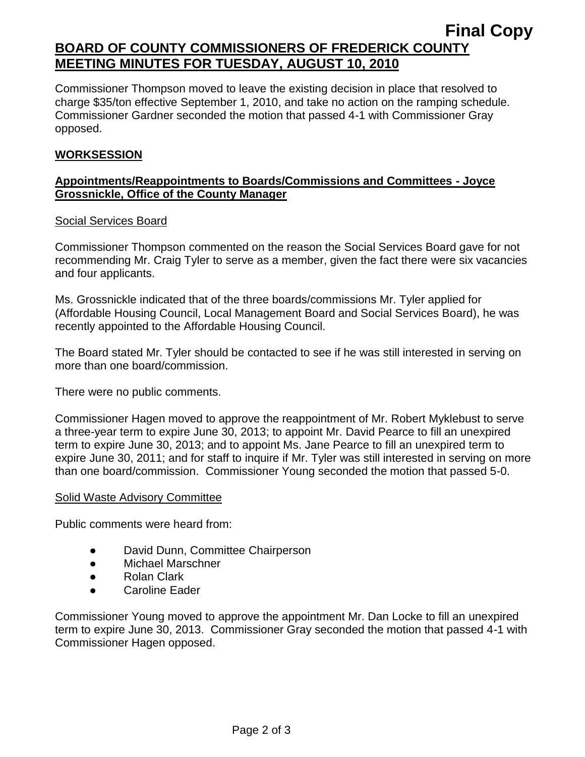Commissioner Thompson moved to leave the existing decision in place that resolved to charge \$35/ton effective September 1, 2010, and take no action on the ramping schedule. Commissioner Gardner seconded the motion that passed 4-1 with Commissioner Gray opposed.

# **WORKSESSION**

# **Appointments/Reappointments to Boards/Commissions and Committees - Joyce Grossnickle, Office of the County Manager**

# Social Services Board

Commissioner Thompson commented on the reason the Social Services Board gave for not recommending Mr. Craig Tyler to serve as a member, given the fact there were six vacancies and four applicants.

Ms. Grossnickle indicated that of the three boards/commissions Mr. Tyler applied for (Affordable Housing Council, Local Management Board and Social Services Board), he was recently appointed to the Affordable Housing Council.

The Board stated Mr. Tyler should be contacted to see if he was still interested in serving on more than one board/commission.

There were no public comments.

Commissioner Hagen moved to approve the reappointment of Mr. Robert Myklebust to serve a three-year term to expire June 30, 2013; to appoint Mr. David Pearce to fill an unexpired term to expire June 30, 2013; and to appoint Ms. Jane Pearce to fill an unexpired term to expire June 30, 2011; and for staff to inquire if Mr. Tyler was still interested in serving on more than one board/commission. Commissioner Young seconded the motion that passed 5-0.

# Solid Waste Advisory Committee

Public comments were heard from:

- David Dunn, Committee Chairperson
- Michael Marschner
- Rolan Clark
- Caroline Eader

Commissioner Young moved to approve the appointment Mr. Dan Locke to fill an unexpired term to expire June 30, 2013. Commissioner Gray seconded the motion that passed 4-1 with Commissioner Hagen opposed.